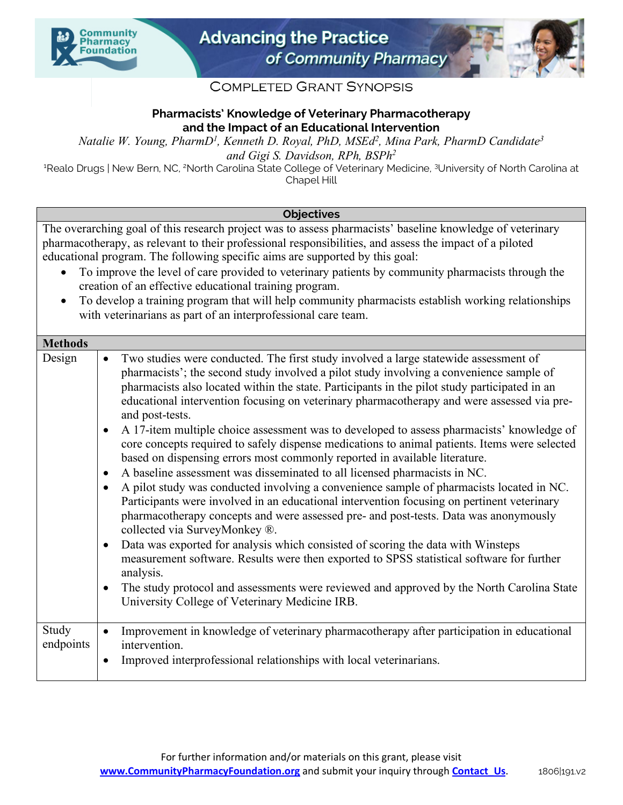



# **COMPLETED GRANT SYNOPSIS**

## **Pharmacists' Knowledge of Veterinary Pharmacotherapy and the Impact of an Educational Intervention**

*Natalie W. Young, PharmD1 , Kenneth D. Royal, PhD, MSEd2 , Mina Park, PharmD Candidate3 and Gigi S. Davidson, RPh, BSPh2*

<sup>1</sup>Realo Drugs | New Bern, NC, <sup>2</sup>North Carolina State College of Veterinary Medicine, <sup>3</sup>University of North Carolina at Chapel Hill

## **Objectives**

The overarching goal of this research project was to assess pharmacists' baseline knowledge of veterinary pharmacotherapy, as relevant to their professional responsibilities, and assess the impact of a piloted educational program. The following specific aims are supported by this goal:

- To improve the level of care provided to veterinary patients by community pharmacists through the creation of an effective educational training program.
- To develop a training program that will help community pharmacists establish working relationships with veterinarians as part of an interprofessional care team.

| <b>Methods</b>     |                                                                                                                                                                                                                                                                                                                                                                                                                                                                                                                                                                                                                                                                                                                                                                                                                                                                                                                                                                                                                                                                                                                                                                                                                                                                                                                                                                                                                                                                                                          |
|--------------------|----------------------------------------------------------------------------------------------------------------------------------------------------------------------------------------------------------------------------------------------------------------------------------------------------------------------------------------------------------------------------------------------------------------------------------------------------------------------------------------------------------------------------------------------------------------------------------------------------------------------------------------------------------------------------------------------------------------------------------------------------------------------------------------------------------------------------------------------------------------------------------------------------------------------------------------------------------------------------------------------------------------------------------------------------------------------------------------------------------------------------------------------------------------------------------------------------------------------------------------------------------------------------------------------------------------------------------------------------------------------------------------------------------------------------------------------------------------------------------------------------------|
| Design             | Two studies were conducted. The first study involved a large statewide assessment of<br>$\bullet$<br>pharmacists'; the second study involved a pilot study involving a convenience sample of<br>pharmacists also located within the state. Participants in the pilot study participated in an<br>educational intervention focusing on veterinary pharmacotherapy and were assessed via pre-<br>and post-tests.<br>A 17-item multiple choice assessment was to developed to assess pharmacists' knowledge of<br>$\bullet$<br>core concepts required to safely dispense medications to animal patients. Items were selected<br>based on dispensing errors most commonly reported in available literature.<br>A baseline assessment was disseminated to all licensed pharmacists in NC.<br>$\bullet$<br>A pilot study was conducted involving a convenience sample of pharmacists located in NC.<br>$\bullet$<br>Participants were involved in an educational intervention focusing on pertinent veterinary<br>pharmacotherapy concepts and were assessed pre- and post-tests. Data was anonymously<br>collected via SurveyMonkey ®.<br>Data was exported for analysis which consisted of scoring the data with Winsteps<br>$\bullet$<br>measurement software. Results were then exported to SPSS statistical software for further<br>analysis.<br>The study protocol and assessments were reviewed and approved by the North Carolina State<br>$\bullet$<br>University College of Veterinary Medicine IRB. |
| Study<br>endpoints | Improvement in knowledge of veterinary pharmacotherapy after participation in educational<br>$\bullet$<br>intervention.<br>Improved interprofessional relationships with local veterinarians.                                                                                                                                                                                                                                                                                                                                                                                                                                                                                                                                                                                                                                                                                                                                                                                                                                                                                                                                                                                                                                                                                                                                                                                                                                                                                                            |